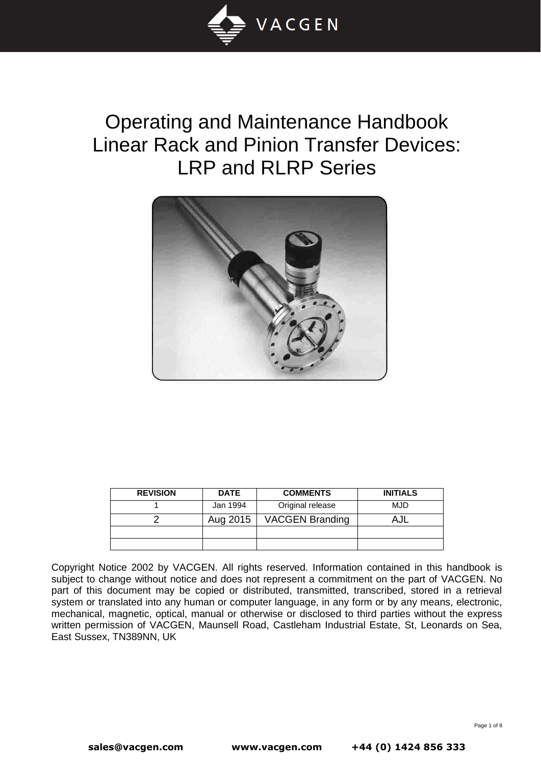

# Operating and Maintenance Handbook Linear Rack and Pinion Transfer Devices: LRP and RLRP Series



| <b>REVISION</b> | <b>DATE</b> | <b>COMMENTS</b>        | <b>INITIALS</b> |
|-----------------|-------------|------------------------|-----------------|
|                 | Jan 1994    | Original release       | MJD             |
|                 | Aug 2015    | <b>VACGEN Branding</b> |                 |
|                 |             |                        |                 |
|                 |             |                        |                 |

Copyright Notice 2002 by VACGEN. All rights reserved. Information contained in this handbook is subject to change without notice and does not represent a commitment on the part of VACGEN. No part of this document may be copied or distributed, transmitted, transcribed, stored in a retrieval system or translated into any human or computer language, in any form or by any means, electronic, mechanical, magnetic, optical, manual or otherwise or disclosed to third parties without the express written permission of VACGEN, Maunsell Road, Castleham Industrial Estate, St, Leonards on Sea, East Sussex, TN389NN, UK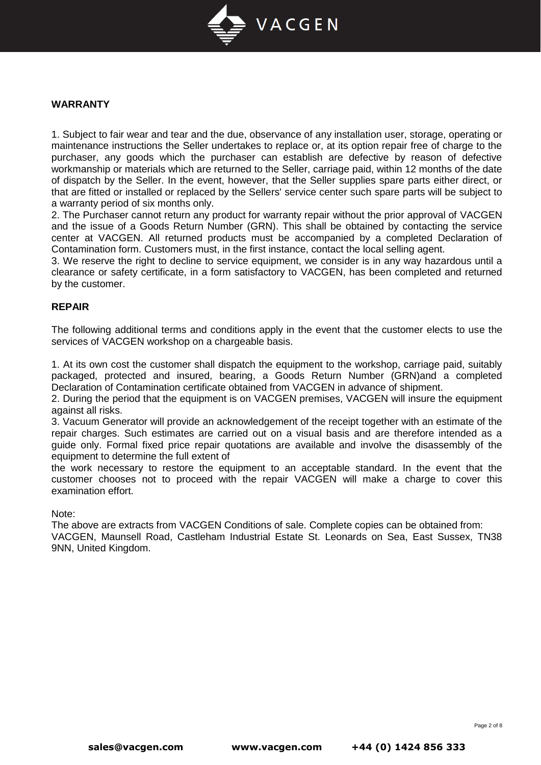

# **WARRANTY**

1. Subject to fair wear and tear and the due, observance of any installation user, storage, operating or maintenance instructions the Seller undertakes to replace or, at its option repair free of charge to the purchaser, any goods which the purchaser can establish are defective by reason of defective workmanship or materials which are returned to the Seller, carriage paid, within 12 months of the date of dispatch by the Seller. In the event, however, that the Seller supplies spare parts either direct, or that are fitted or installed or replaced by the Sellers' service center such spare parts will be subject to a warranty period of six months only.

2. The Purchaser cannot return any product for warranty repair without the prior approval of VACGEN and the issue of a Goods Return Number (GRN). This shall be obtained by contacting the service center at VACGEN. All returned products must be accompanied by a completed Declaration of Contamination form. Customers must, in the first instance, contact the local selling agent.

3. We reserve the right to decline to service equipment, we consider is in any way hazardous until a clearance or safety certificate, in a form satisfactory to VACGEN, has been completed and returned by the customer.

### **REPAIR**

The following additional terms and conditions apply in the event that the customer elects to use the services of VACGEN workshop on a chargeable basis.

1. At its own cost the customer shall dispatch the equipment to the workshop, carriage paid, suitably packaged, protected and insured, bearing, a Goods Return Number (GRN)and a completed Declaration of Contamination certificate obtained from VACGEN in advance of shipment.

2. During the period that the equipment is on VACGEN premises, VACGEN will insure the equipment against all risks.

3. Vacuum Generator will provide an acknowledgement of the receipt together with an estimate of the repair charges. Such estimates are carried out on a visual basis and are therefore intended as a guide only. Formal fixed price repair quotations are available and involve the disassembly of the equipment to determine the full extent of

the work necessary to restore the equipment to an acceptable standard. In the event that the customer chooses not to proceed with the repair VACGEN will make a charge to cover this examination effort.

Note:

The above are extracts from VACGEN Conditions of sale. Complete copies can be obtained from: VACGEN, Maunsell Road, Castleham Industrial Estate St. Leonards on Sea, East Sussex, TN38 9NN, United Kingdom.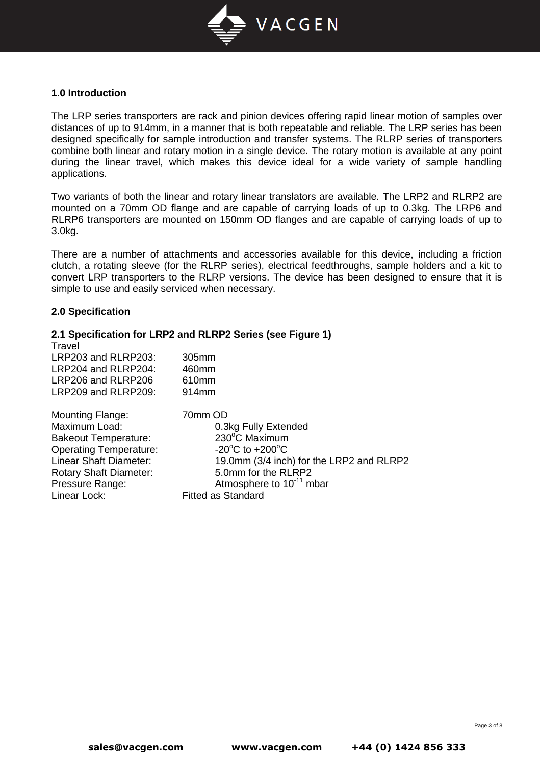

# **1.0 Introduction**

The LRP series transporters are rack and pinion devices offering rapid linear motion of samples over distances of up to 914mm, in a manner that is both repeatable and reliable. The LRP series has been designed specifically for sample introduction and transfer systems. The RLRP series of transporters combine both linear and rotary motion in a single device. The rotary motion is available at any point during the linear travel, which makes this device ideal for a wide variety of sample handling applications.

Two variants of both the linear and rotary linear translators are available. The LRP2 and RLRP2 are mounted on a 70mm OD flange and are capable of carrying loads of up to 0.3kg. The LRP6 and RLRP6 transporters are mounted on 150mm OD flanges and are capable of carrying loads of up to 3.0kg.

There are a number of attachments and accessories available for this device, including a friction clutch, a rotating sleeve (for the RLRP series), electrical feedthroughs, sample holders and a kit to convert LRP transporters to the RLRP versions. The device has been designed to ensure that it is simple to use and easily serviced when necessary.

### **2.0 Specification**

# **2.1 Specification for LRP2 and RLRP2 Series (see Figure 1)**

| Travel                        |                                          |
|-------------------------------|------------------------------------------|
| LRP203 and RLRP203:           | 305mm                                    |
| LRP204 and RLRP204:           | 460mm                                    |
| LRP206 and RLRP206            | 610mm                                    |
| LRP209 and RLRP209:           | 914 <sub>mm</sub>                        |
| <b>Mounting Flange:</b>       | 70mm OD                                  |
| Maximum Load:                 | 0.3kg Fully Extended                     |
| <b>Bakeout Temperature:</b>   | 230°C Maximum                            |
| <b>Operating Temperature:</b> | $-20^{\circ}$ C to $+200^{\circ}$ C      |
| Linear Shaft Diameter:        | 19.0mm (3/4 inch) for the LRP2 and RLRP2 |
| <b>Rotary Shaft Diameter:</b> | 5.0mm for the RLRP2                      |
| Pressure Range:               | Atmosphere to 10 <sup>-11</sup> mbar     |
| Linear Lock:                  | <b>Fitted as Standard</b>                |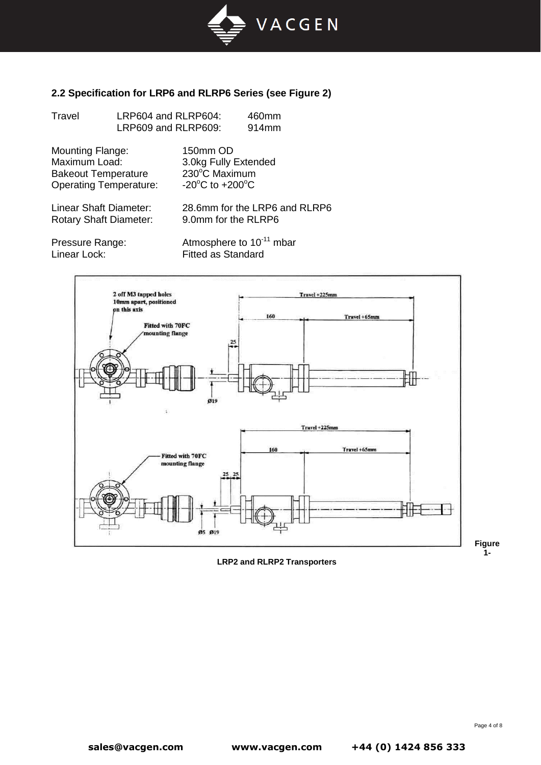

# **2.2 Specification for LRP6 and RLRP6 Series (see Figure 2)**

| Travel                                                                                                  | LRP604 and RLRP604:<br>LRP609 and RLRP609: |                                                                                          | 460mm<br>914mm                       |
|---------------------------------------------------------------------------------------------------------|--------------------------------------------|------------------------------------------------------------------------------------------|--------------------------------------|
| <b>Mounting Flange:</b><br>Maximum Load:<br><b>Bakeout Temperature</b><br><b>Operating Temperature:</b> |                                            | 150mm OD<br>3.0kg Fully Extended<br>230°C Maximum<br>$-20^{\circ}$ C to $+200^{\circ}$ C |                                      |
| Linear Shaft Diameter:<br><b>Rotary Shaft Diameter:</b>                                                 |                                            | 9.0mm for the RLRP6                                                                      | 28.6mm for the LRP6 and RLRP6        |
| Pressure Range:<br>Linear Lock:                                                                         |                                            | <b>Fitted as Standard</b>                                                                | Atmosphere to 10 <sup>-11</sup> mbar |



**LRP2 and RLRP2 Transporters**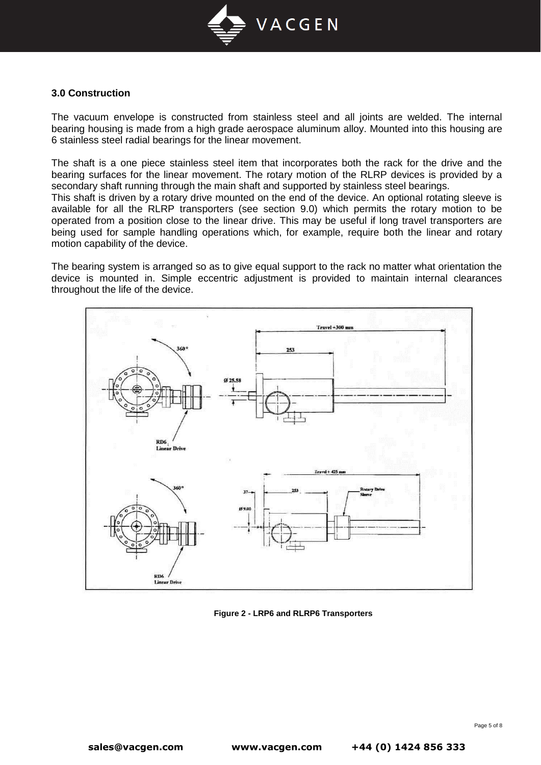

# **3.0 Construction**

The vacuum envelope is constructed from stainless steel and all joints are welded. The internal bearing housing is made from a high grade aerospace aluminum alloy. Mounted into this housing are 6 stainless steel radial bearings for the linear movement.

The shaft is a one piece stainless steel item that incorporates both the rack for the drive and the bearing surfaces for the linear movement. The rotary motion of the RLRP devices is provided by a secondary shaft running through the main shaft and supported by stainless steel bearings.

This shaft is driven by a rotary drive mounted on the end of the device. An optional rotating sleeve is available for all the RLRP transporters (see section 9.0) which permits the rotary motion to be operated from a position close to the linear drive. This may be useful if long travel transporters are being used for sample handling operations which, for example, require both the linear and rotary motion capability of the device.

The bearing system is arranged so as to give equal support to the rack no matter what orientation the device is mounted in. Simple eccentric adjustment is provided to maintain internal clearances throughout the life of the device.



**Figure 2 - LRP6 and RLRP6 Transporters**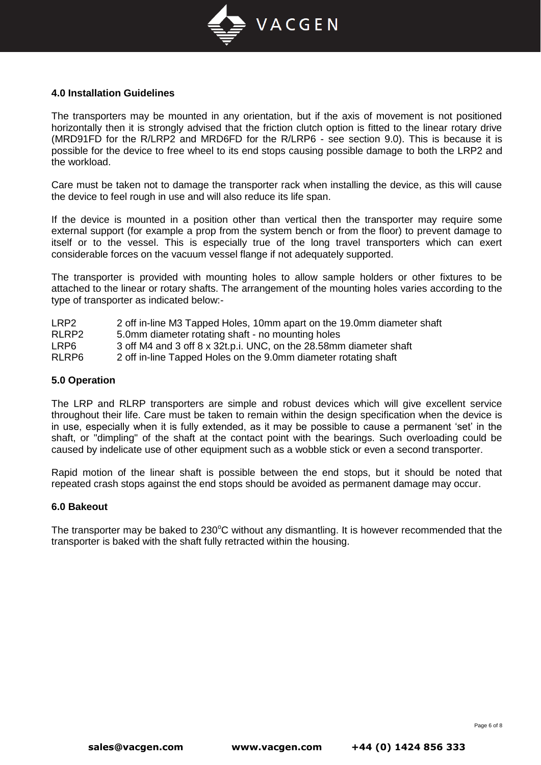

## **4.0 Installation Guidelines**

The transporters may be mounted in any orientation, but if the axis of movement is not positioned horizontally then it is strongly advised that the friction clutch option is fitted to the linear rotary drive (MRD91FD for the R/LRP2 and MRD6FD for the R/LRP6 - see section 9.0). This is because it is possible for the device to free wheel to its end stops causing possible damage to both the LRP2 and the workload.

Care must be taken not to damage the transporter rack when installing the device, as this will cause the device to feel rough in use and will also reduce its life span.

If the device is mounted in a position other than vertical then the transporter may require some external support (for example a prop from the system bench or from the floor) to prevent damage to itself or to the vessel. This is especially true of the long travel transporters which can exert considerable forces on the vacuum vessel flange if not adequately supported.

The transporter is provided with mounting holes to allow sample holders or other fixtures to be attached to the linear or rotary shafts. The arrangement of the mounting holes varies according to the type of transporter as indicated below:-

- LRP2 2 off in-line M3 Tapped Holes, 10mm apart on the 19.0mm diameter shaft
- RLRP2 5.0mm diameter rotating shaft no mounting holes<br>I RP6 3 off M4 and 3 off 8 x 32t p i. UNC, on the 28.58mm
- 3 off M4 and 3 off 8 x  $32t.p.i.$  UNC, on the  $28.58$ mm diameter shaft
- RLRP6 2 off in-line Tapped Holes on the 9.0mm diameter rotating shaft

#### **5.0 Operation**

The LRP and RLRP transporters are simple and robust devices which will give excellent service throughout their life. Care must be taken to remain within the design specification when the device is in use, especially when it is fully extended, as it may be possible to cause a permanent 'set' in the shaft, or "dimpling" of the shaft at the contact point with the bearings. Such overloading could be caused by indelicate use of other equipment such as a wobble stick or even a second transporter.

Rapid motion of the linear shaft is possible between the end stops, but it should be noted that repeated crash stops against the end stops should be avoided as permanent damage may occur.

#### **6.0 Bakeout**

The transporter may be baked to  $230^{\circ}$ C without any dismantling. It is however recommended that the transporter is baked with the shaft fully retracted within the housing.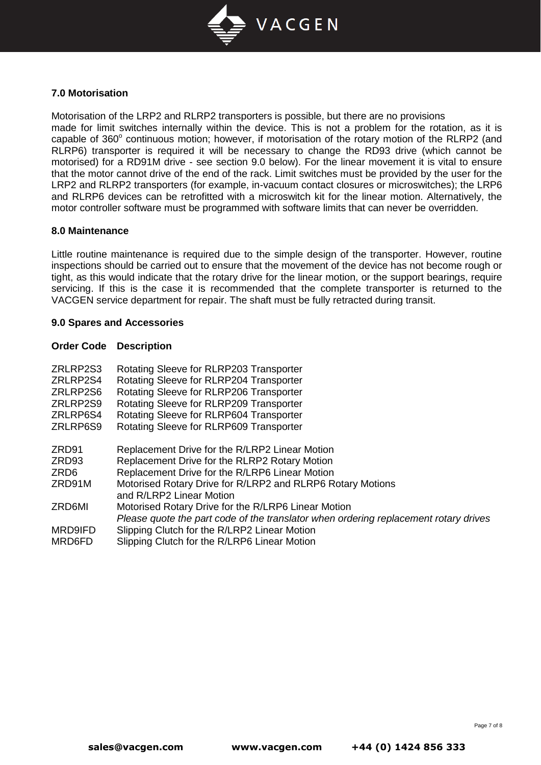

# **7.0 Motorisation**

Motorisation of the LRP2 and RLRP2 transporters is possible, but there are no provisions made for limit switches internally within the device. This is not a problem for the rotation, as it is capable of 360° continuous motion; however, if motorisation of the rotary motion of the RLRP2 (and RLRP6) transporter is required it will be necessary to change the RD93 drive (which cannot be motorised) for a RD91M drive - see section 9.0 below). For the linear movement it is vital to ensure that the motor cannot drive of the end of the rack. Limit switches must be provided by the user for the LRP2 and RLRP2 transporters (for example, in-vacuum contact closures or microswitches); the LRP6 and RLRP6 devices can be retrofitted with a microswitch kit for the linear motion. Alternatively, the motor controller software must be programmed with software limits that can never be overridden.

#### **8.0 Maintenance**

Little routine maintenance is required due to the simple design of the transporter. However, routine inspections should be carried out to ensure that the movement of the device has not become rough or tight, as this would indicate that the rotary drive for the linear motion, or the support bearings, require servicing. If this is the case it is recommended that the complete transporter is returned to the VACGEN service department for repair. The shaft must be fully retracted during transit.

### **9.0 Spares and Accessories**

### **Order Code Description**

| ZRLRP2S3<br>ZRLRP2S4<br>ZRLRP2S6<br>ZRLRP2S9<br>ZRLRP6S4 | Rotating Sleeve for RLRP203 Transporter<br>Rotating Sleeve for RLRP204 Transporter<br>Rotating Sleeve for RLRP206 Transporter<br>Rotating Sleeve for RLRP209 Transporter<br>Rotating Sleeve for RLRP604 Transporter                         |
|----------------------------------------------------------|---------------------------------------------------------------------------------------------------------------------------------------------------------------------------------------------------------------------------------------------|
| ZRLRP6S9                                                 | Rotating Sleeve for RLRP609 Transporter                                                                                                                                                                                                     |
| ZRD91<br>ZRD93<br>ZRD6<br>ZRD91M                         | Replacement Drive for the R/LRP2 Linear Motion<br>Replacement Drive for the RLRP2 Rotary Motion<br>Replacement Drive for the R/LRP6 Linear Motion<br>Motorised Rotary Drive for R/LRP2 and RLRP6 Rotary Motions<br>and R/LRP2 Linear Motion |
| ZRD6MI                                                   | Motorised Rotary Drive for the R/LRP6 Linear Motion                                                                                                                                                                                         |
| MRD9IFD<br>MRD6FD                                        | Please quote the part code of the translator when ordering replacement rotary drives<br>Slipping Clutch for the R/LRP2 Linear Motion<br>Slipping Clutch for the R/LRP6 Linear Motion                                                        |